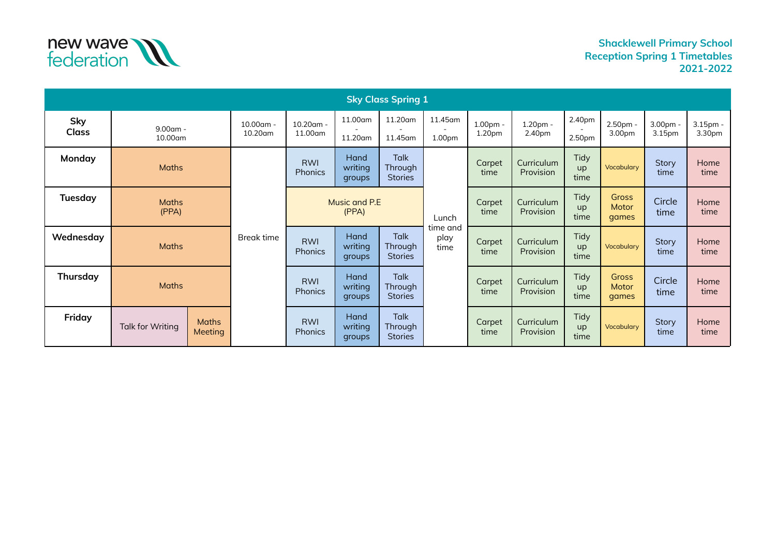

| <b>Sky Class Spring 1</b> |                         |                         |                         |                              |                           |                                          |                               |                    |                         |                           |                                |                                |                    |
|---------------------------|-------------------------|-------------------------|-------------------------|------------------------------|---------------------------|------------------------------------------|-------------------------------|--------------------|-------------------------|---------------------------|--------------------------------|--------------------------------|--------------------|
| Sky<br><b>Class</b>       | $9.00$ am -<br>10.00am  |                         | $10.00$ am -<br>10.20am | $10.20$ am -<br>11.00am      | 11.00am<br>11.20am        | 11.20am<br>11.45am                       | 11.45am<br>1.00 <sub>pm</sub> | 1.00pm -<br>1.20pm | 1.20pm -<br>2.40pm      | 2.40pm<br>2.50pm          | 2.50pm -<br>3.00pm             | 3.00pm -<br>3.15 <sub>pm</sub> | 3.15pm -<br>3.30pm |
| Monday                    | <b>Maths</b>            |                         |                         | <b>RWI</b><br><b>Phonics</b> | Hand<br>writing<br>groups | Talk<br>Through<br><b>Stories</b>        |                               | Carpet<br>time     | Curriculum<br>Provision | <b>Tidy</b><br>up<br>time | Vocabulary                     | Story<br>time                  | Home<br>time       |
| <b>Tuesday</b>            | <b>Maths</b><br>(PPA)   |                         | Break time              | Music and P.E.<br>(PPA)      |                           |                                          | Lunch                         | Carpet<br>time     | Curriculum<br>Provision | Tidy<br>up<br>time        | <b>Gross</b><br>Motor<br>qames | Circle<br>time                 | Home<br>time       |
| Wednesday                 | <b>Maths</b>            |                         |                         | <b>RWI</b><br><b>Phonics</b> | Hand<br>writing<br>groups | Talk<br>Through<br><b>Stories</b>        | time and<br>play<br>time      | Carpet<br>time     | Curriculum<br>Provision | Tidy<br>up<br>time        | Vocabulary                     | Story<br>time                  | Home<br>time       |
| Thursday                  | <b>Maths</b>            |                         |                         | <b>RWI</b><br><b>Phonics</b> | Hand<br>writing<br>groups | Talk<br><b>Through</b><br><b>Stories</b> |                               | Carpet<br>time     | Curriculum<br>Provision | <b>Tidy</b><br>up<br>time | <b>Gross</b><br>Motor<br>qames | Circle<br>time                 | Home<br>time       |
| Friday                    | <b>Talk for Writing</b> | <b>Maths</b><br>Meeting |                         | <b>RWI</b><br><b>Phonics</b> | Hand<br>writing<br>groups | Talk<br>Through<br><b>Stories</b>        |                               | Carpet<br>time     | Curriculum<br>Provision | Tidy<br>up<br>time        | Vocabulary                     | <b>Story</b><br>time           | Home<br>time       |